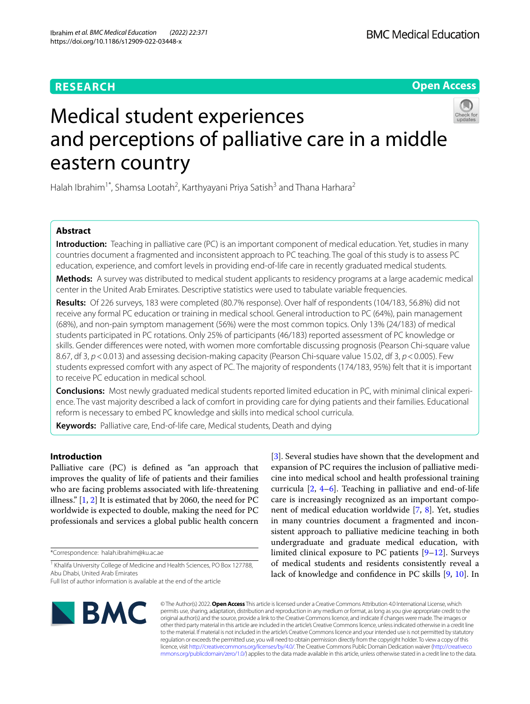# **RESEARCH**

**Open Access**

# Medical student experiences and perceptions of palliative care in a middle eastern country

Halah Ibrahim<sup>1\*</sup>, Shamsa Lootah<sup>2</sup>, Karthyayani Priya Satish<sup>3</sup> and Thana Harhara<sup>2</sup>

# **Abstract**

**Introduction:** Teaching in palliative care (PC) is an important component of medical education. Yet, studies in many countries document a fragmented and inconsistent approach to PC teaching. The goal of this study is to assess PC education, experience, and comfort levels in providing end-of-life care in recently graduated medical students.

**Methods:** A survey was distributed to medical student applicants to residency programs at a large academic medical center in the United Arab Emirates. Descriptive statistics were used to tabulate variable frequencies.

**Results:** Of 226 surveys, 183 were completed (80.7% response). Over half of respondents (104/183, 56.8%) did not receive any formal PC education or training in medical school. General introduction to PC (64%), pain management (68%), and non-pain symptom management (56%) were the most common topics. Only 13% (24/183) of medical students participated in PC rotations. Only 25% of participants (46/183) reported assessment of PC knowledge or skills. Gender diferences were noted, with women more comfortable discussing prognosis (Pearson Chi-square value 8.67, df 3, *p*<0.013) and assessing decision-making capacity (Pearson Chi-square value 15.02, df 3, *p*<0.005). Few students expressed comfort with any aspect of PC. The majority of respondents (174/183, 95%) felt that it is important to receive PC education in medical school.

**Conclusions:** Most newly graduated medical students reported limited education in PC, with minimal clinical experience. The vast majority described a lack of comfort in providing care for dying patients and their families. Educational reform is necessary to embed PC knowledge and skills into medical school curricula.

**Keywords:** Palliative care, End-of-life care, Medical students, Death and dying

## **Introduction**

Palliative care (PC) is defned as "an approach that improves the quality of life of patients and their families who are facing problems associated with life-threatening illness."  $[1, 2]$  $[1, 2]$  $[1, 2]$  It is estimated that by 2060, the need for PC worldwide is expected to double, making the need for PC professionals and services a global public health concern

\*Correspondence: halah.ibrahim@ku.ac.ae

<sup>1</sup> Khalifa University College of Medicine and Health Sciences, PO Box 127788, Abu Dhabi, United Arab Emirates

[[3\]](#page-6-2). Several studies have shown that the development and expansion of PC requires the inclusion of palliative medicine into medical school and health professional training curricula [\[2](#page-6-1), [4](#page-6-3)[–6\]](#page-6-4). Teaching in palliative and end-of-life care is increasingly recognized as an important component of medical education worldwide [\[7,](#page-6-5) [8](#page-6-6)]. Yet, studies in many countries document a fragmented and inconsistent approach to palliative medicine teaching in both undergraduate and graduate medical education, with limited clinical exposure to PC patients [\[9](#page-6-7)–[12\]](#page-6-8). Surveys of medical students and residents consistently reveal a lack of knowledge and confdence in PC skills [\[9](#page-6-7), [10](#page-6-9)]. In



© The Author(s) 2022. **Open Access** This article is licensed under a Creative Commons Attribution 4.0 International License, which permits use, sharing, adaptation, distribution and reproduction in any medium or format, as long as you give appropriate credit to the original author(s) and the source, provide a link to the Creative Commons licence, and indicate if changes were made. The images or other third party material in this article are included in the article's Creative Commons licence, unless indicated otherwise in a credit line to the material. If material is not included in the article's Creative Commons licence and your intended use is not permitted by statutory regulation or exceeds the permitted use, you will need to obtain permission directly from the copyright holder. To view a copy of this licence, visit [http://creativecommons.org/licenses/by/4.0/.](http://creativecommons.org/licenses/by/4.0/) The Creative Commons Public Domain Dedication waiver ([http://creativeco](http://creativecommons.org/publicdomain/zero/1.0/) [mmons.org/publicdomain/zero/1.0/](http://creativecommons.org/publicdomain/zero/1.0/)) applies to the data made available in this article, unless otherwise stated in a credit line to the data.

Full list of author information is available at the end of the article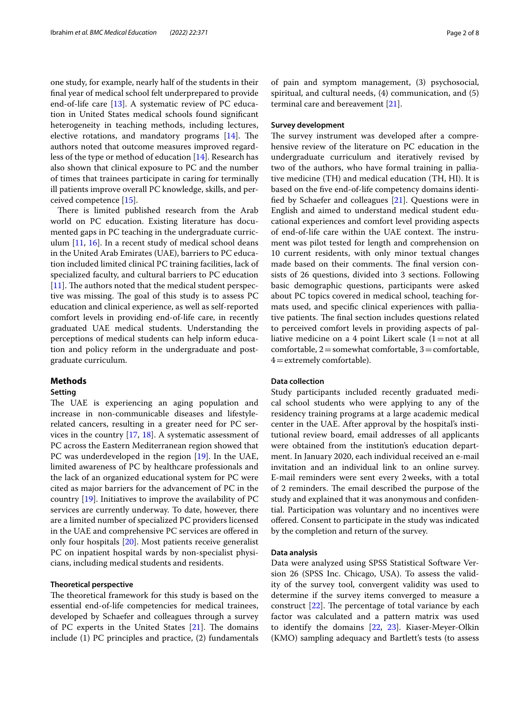one study, for example, nearly half of the students in their fnal year of medical school felt underprepared to provide end-of-life care [[13](#page-6-10)]. A systematic review of PC education in United States medical schools found signifcant heterogeneity in teaching methods, including lectures, elective rotations, and mandatory programs  $[14]$  $[14]$ . The authors noted that outcome measures improved regardless of the type or method of education [\[14](#page-6-11)]. Research has also shown that clinical exposure to PC and the number of times that trainees participate in caring for terminally ill patients improve overall PC knowledge, skills, and perceived competence [[15\]](#page-6-12).

There is limited published research from the Arab world on PC education. Existing literature has documented gaps in PC teaching in the undergraduate curriculum [\[11](#page-6-13), [16](#page-6-14)]. In a recent study of medical school deans in the United Arab Emirates (UAE), barriers to PC education included limited clinical PC training facilities, lack of specialized faculty, and cultural barriers to PC education  $[11]$  $[11]$ . The authors noted that the medical student perspective was missing. The goal of this study is to assess PC education and clinical experience, as well as self-reported comfort levels in providing end-of-life care, in recently graduated UAE medical students. Understanding the perceptions of medical students can help inform education and policy reform in the undergraduate and postgraduate curriculum.

## **Methods**

## **Setting**

The UAE is experiencing an aging population and increase in non-communicable diseases and lifestylerelated cancers, resulting in a greater need for PC services in the country [[17,](#page-6-15) [18\]](#page-6-16). A systematic assessment of PC across the Eastern Mediterranean region showed that PC was underdeveloped in the region [\[19](#page-6-17)]. In the UAE, limited awareness of PC by healthcare professionals and the lack of an organized educational system for PC were cited as major barriers for the advancement of PC in the country [[19\]](#page-6-17). Initiatives to improve the availability of PC services are currently underway. To date, however, there are a limited number of specialized PC providers licensed in the UAE and comprehensive PC services are ofered in only four hospitals [[20](#page-6-18)]. Most patients receive generalist PC on inpatient hospital wards by non-specialist physicians, including medical students and residents.

## **Theoretical perspective**

The theoretical framework for this study is based on the essential end-of-life competencies for medical trainees, developed by Schaefer and colleagues through a survey of PC experts in the United States  $[21]$  $[21]$ . The domains include (1) PC principles and practice, (2) fundamentals of pain and symptom management, (3) psychosocial, spiritual, and cultural needs, (4) communication, and (5) terminal care and bereavement [[21\]](#page-6-19).

## **Survey development**

The survey instrument was developed after a comprehensive review of the literature on PC education in the undergraduate curriculum and iteratively revised by two of the authors, who have formal training in palliative medicine (TH) and medical education (TH, HI). It is based on the fve end-of-life competency domains identifed by Schaefer and colleagues [\[21\]](#page-6-19). Questions were in English and aimed to understand medical student educational experiences and comfort level providing aspects of end-of-life care within the UAE context. The instrument was pilot tested for length and comprehension on 10 current residents, with only minor textual changes made based on their comments. The final version consists of 26 questions, divided into 3 sections. Following basic demographic questions, participants were asked about PC topics covered in medical school, teaching formats used, and specifc clinical experiences with palliative patients. The final section includes questions related to perceived comfort levels in providing aspects of palliative medicine on a 4 point Likert scale  $(1=$ not at all comfortable,  $2$  = somewhat comfortable,  $3$  = comfortable,  $4$  = extremely comfortable).

## **Data collection**

Study participants included recently graduated medical school students who were applying to any of the residency training programs at a large academic medical center in the UAE. After approval by the hospital's institutional review board, email addresses of all applicants were obtained from the institution's education department. In January 2020, each individual received an e-mail invitation and an individual link to an online survey. E-mail reminders were sent every 2weeks, with a total of 2 reminders. The email described the purpose of the study and explained that it was anonymous and confdential. Participation was voluntary and no incentives were ofered. Consent to participate in the study was indicated by the completion and return of the survey.

#### **Data analysis**

Data were analyzed using SPSS Statistical Software Version 26 (SPSS Inc. Chicago, USA). To assess the validity of the survey tool, convergent validity was used to determine if the survey items converged to measure a construct  $[22]$  $[22]$ . The percentage of total variance by each factor was calculated and a pattern matrix was used to identify the domains [[22,](#page-6-20) [23](#page-6-21)]. Kiaser-Meyer-Olkin (KMO) sampling adequacy and Bartlett's tests (to assess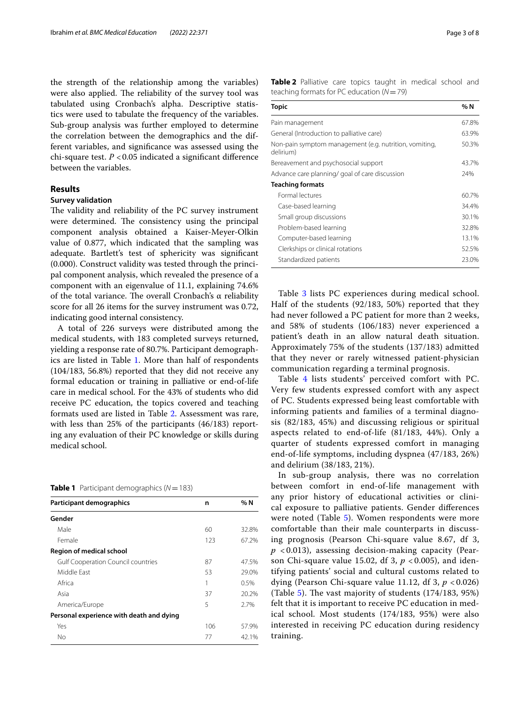the strength of the relationship among the variables) were also applied. The reliability of the survey tool was tabulated using Cronbach's alpha. Descriptive statistics were used to tabulate the frequency of the variables. Sub-group analysis was further employed to determine the correlation between the demographics and the different variables, and signifcance was assessed using the chi-square test. *P* <0.05 indicated a signifcant diference between the variables.

## **Results**

## **Survey validation**

The validity and reliability of the PC survey instrument were determined. The consistency using the principal component analysis obtained a Kaiser-Meyer-Olkin value of 0.877, which indicated that the sampling was adequate. Bartlett's test of sphericity was signifcant (0.000). Construct validity was tested through the principal component analysis, which revealed the presence of a component with an eigenvalue of 11.1, explaining 74.6% of the total variance. The overall Cronbach's  $\alpha$  reliability score for all 26 items for the survey instrument was 0.72, indicating good internal consistency.

A total of 226 surveys were distributed among the medical students, with 183 completed surveys returned, yielding a response rate of 80.7%. Participant demograph-ics are listed in Table [1.](#page-2-0) More than half of respondents (104/183, 56.8%) reported that they did not receive any formal education or training in palliative or end-of-life care in medical school. For the 43% of students who did receive PC education, the topics covered and teaching formats used are listed in Table [2.](#page-2-1) Assessment was rare, with less than 25% of the participants (46/183) reporting any evaluation of their PC knowledge or skills during medical school.

<span id="page-2-0"></span>**Table 1** Participant demographics  $(N = 183)$ 

| Participant demographics                  | n   | %N    |
|-------------------------------------------|-----|-------|
| Gender                                    |     |       |
| Male                                      | 60  | 32.8% |
| Female                                    | 123 | 67.2% |
| Region of medical school                  |     |       |
| <b>Gulf Cooperation Council countries</b> | 87  | 47.5% |
| Middle Fast                               | 53  | 29.0% |
| Africa                                    |     | 0.5%  |
| Asia                                      | 37  | 20.2% |
| America/Europe                            | 5   | 2.7%  |
| Personal experience with death and dying  |     |       |
| Yes                                       | 106 | 57.9% |
| No                                        | 77  | 42.1% |

<span id="page-2-1"></span>**Table 2** Palliative care topics taught in medical school and teaching formats for PC education (*N*=79)

| Topic                                                               | %N    |
|---------------------------------------------------------------------|-------|
| Pain management                                                     | 67.8% |
| General (Introduction to palliative care)                           | 63.9% |
| Non-pain symptom management (e.g. nutrition, vomiting,<br>delirium) | 50.3% |
| Bereavement and psychosocial support                                | 43.7% |
| Advance care planning/ goal of care discussion                      | 24%   |
| <b>Teaching formats</b>                                             |       |
| Formal lectures                                                     | 60.7% |
| Case-based learning                                                 | 34.4% |
| Small group discussions                                             | 30.1% |
| Problem-based learning                                              | 32.8% |
| Computer-based learning                                             | 13.1% |
| Clerkships or clinical rotations                                    | 52.5% |
| Standardized patients                                               | 23.0% |

Table [3](#page-3-0) lists PC experiences during medical school. Half of the students (92/183, 50%) reported that they had never followed a PC patient for more than 2 weeks, and 58% of students (106/183) never experienced a patient's death in an allow natural death situation. Approximately 75% of the students (137/183) admitted that they never or rarely witnessed patient-physician communication regarding a terminal prognosis.

Table [4](#page-3-1) lists students' perceived comfort with PC. Very few students expressed comfort with any aspect of PC. Students expressed being least comfortable with informing patients and families of a terminal diagnosis (82/183, 45%) and discussing religious or spiritual aspects related to end-of-life (81/183, 44%). Only a quarter of students expressed comfort in managing end-of-life symptoms, including dyspnea (47/183, 26%) and delirium (38/183, 21%).

In sub-group analysis, there was no correlation between comfort in end-of-life management with any prior history of educational activities or clinical exposure to palliative patients. Gender diferences were noted (Table [5](#page-3-2)). Women respondents were more comfortable than their male counterparts in discussing prognosis (Pearson Chi-square value 8.67, df 3, *p* < 0.013), assessing decision-making capacity (Pearson Chi-square value 15.02, df 3, *p* < 0.005), and identifying patients' social and cultural customs related to dying (Pearson Chi-square value 11.12, df 3, *p* < 0.026) (Table [5](#page-3-2)). The vast majority of students  $(174/183, 95%)$ felt that it is important to receive PC education in medical school. Most students (174/183, 95%) were also interested in receiving PC education during residency training.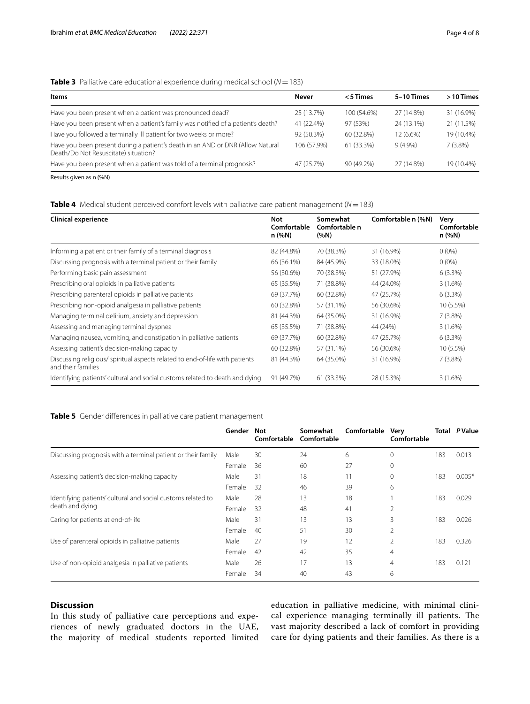## <span id="page-3-0"></span>**Table 3** Palliative care educational experience during medical school (*N*=183)

| <b>Items</b>                                                                                                           | <b>Never</b> | <5 Times    | 5-10 Times | $>10$ Times |
|------------------------------------------------------------------------------------------------------------------------|--------------|-------------|------------|-------------|
| Have you been present when a patient was pronounced dead?                                                              | 25 (13.7%)   | 100 (54.6%) | 27 (14.8%) | 31 (16.9%)  |
| Have you been present when a patient's family was notified of a patient's death?                                       | 41 (22.4%)   | 97 (53%)    | 24 (13.1%) | 21 (11.5%)  |
| Have you followed a terminally ill patient for two weeks or more?                                                      | 92 (50.3%)   | 60 (32.8%)  | 12 (6.6%)  | 19 (10.4%)  |
| Have you been present during a patient's death in an AND or DNR (Allow Natural<br>Death/Do Not Resuscitate) situation? | 106 (57.9%)  | 61 (33.3%)  | $9(4.9\%)$ | $7(3.8\%)$  |
| Have you been present when a patient was told of a terminal prognosis?                                                 | 47 (25.7%)   | 90 (49.2%)  | 27 (14.8%) | 19 (10.4%)  |
| $\sim$ $\sim$ $\sim$ $\sim$                                                                                            |              |             |            |             |

Results given as n (%N)

## <span id="page-3-1"></span>**Table 4** Medical student perceived comfort levels with palliative care patient management (*N*=183)

| <b>Clinical experience</b>                                                                        | Not<br>Comfortable<br>n (%N) | Somewhat<br>Comfortable n<br>$(\%N)$ | Comfortable n (%N) | Very<br>Comfortable<br>n (%N) |
|---------------------------------------------------------------------------------------------------|------------------------------|--------------------------------------|--------------------|-------------------------------|
| Informing a patient or their family of a terminal diagnosis                                       | 82 (44.8%)                   | 70 (38.3%)                           | 31 (16.9%)         | $0(0\%)$                      |
| Discussing prognosis with a terminal patient or their family                                      | 66 (36.1%)                   | 84 (45.9%)                           | 33 (18.0%)         | $0(0\%)$                      |
| Performing basic pain assessment                                                                  | 56 (30.6%)                   | 70 (38.3%)                           | 51 (27.9%)         | 6(3.3%)                       |
| Prescribing oral opioids in palliative patients                                                   | 65 (35.5%)                   | 71 (38.8%)                           | 44 (24.0%)         | 3(1.6%)                       |
| Prescribing parenteral opioids in palliative patients                                             | 69 (37.7%)                   | 60 (32.8%)                           | 47 (25.7%)         | 6(3.3%)                       |
| Prescribing non-opioid analgesia in palliative patients                                           | 60 (32.8%)                   | 57 (31.1%)                           | 56 (30.6%)         | 10 (5.5%)                     |
| Managing terminal delirium, anxiety and depression                                                | 81 (44.3%)                   | 64 (35.0%)                           | 31 (16.9%)         | $7(3.8\%)$                    |
| Assessing and managing terminal dyspnea                                                           | 65 (35.5%)                   | 71 (38.8%)                           | 44 (24%)           | 3(1.6%)                       |
| Managing nausea, vomiting, and constipation in palliative patients                                | 69 (37.7%)                   | 60 (32.8%)                           | 47 (25.7%)         | $6(3.3\%)$                    |
| Assessing patient's decision-making capacity                                                      | 60 (32.8%)                   | 57 (31.1%)                           | 56 (30.6%)         | 10 (5.5%)                     |
| Discussing religious/spiritual aspects related to end-of-life with patients<br>and their families | 81 (44.3%)                   | 64 (35.0%)                           | 31 (16.9%)         | 7(3.8%)                       |
| Identifying patients' cultural and social customs related to death and dying                      | 91 (49.7%)                   | 61 (33.3%)                           | 28 (15.3%)         | $3(1.6\%)$                    |

## <span id="page-3-2"></span>**Table 5** Gender diferences in palliative care patient management

|                                                                                 | Gender | Not<br>Comfortable | Somewhat<br>Comfortable | Comfortable | Very<br>Comfortable | Total | P Value  |
|---------------------------------------------------------------------------------|--------|--------------------|-------------------------|-------------|---------------------|-------|----------|
| Discussing prognosis with a terminal patient or their family                    | Male   | 30                 | 24                      | 6           | $\Omega$            | 183   | 0.013    |
|                                                                                 | Female | 36                 | 60                      | 27          | 0                   |       |          |
| Assessing patient's decision-making capacity                                    | Male   | 31                 | 18                      | 11          | 0                   | 183   | $0.005*$ |
|                                                                                 | Female | 32                 | 46                      | 39          | 6                   |       |          |
| Identifying patients' cultural and social customs related to<br>death and dying | Male   | 28                 | 13                      | 18          |                     | 183   | 0.029    |
|                                                                                 | Female | 32                 | 48                      | 41          | 2                   |       |          |
| Caring for patients at end-of-life                                              | Male   | 31                 | 13                      | 13          | 3                   | 183   | 0.026    |
|                                                                                 | Female | 40                 | 51                      | 30          | 2                   |       |          |
| Use of parenteral opioids in palliative patients                                | Male   | 27                 | 19                      | 12          | 2                   | 183   | 0.326    |
|                                                                                 | Female | 42                 | 42                      | 35          | $\overline{4}$      |       |          |
| Use of non-opioid analgesia in palliative patients                              | Male   | 26                 | 17                      | 13          | $\overline{4}$      | 183   | 0.121    |
|                                                                                 | Female | 34                 | 40                      | 43          | 6                   |       |          |

## **Discussion**

In this study of palliative care perceptions and experiences of newly graduated doctors in the UAE, the majority of medical students reported limited education in palliative medicine, with minimal clinical experience managing terminally ill patients. The vast majority described a lack of comfort in providing care for dying patients and their families. As there is a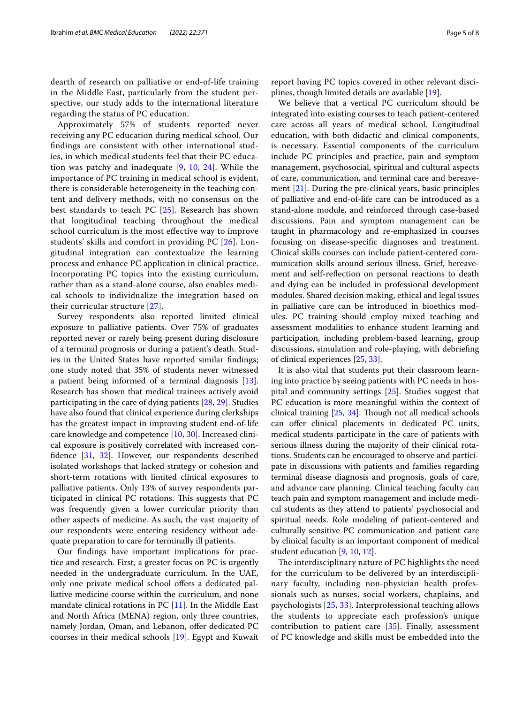dearth of research on palliative or end-of-life training in the Middle East, particularly from the student perspective, our study adds to the international literature regarding the status of PC education.

Approximately 57% of students reported never receiving any PC education during medical school. Our fndings are consistent with other international studies, in which medical students feel that their PC education was patchy and inadequate [[9](#page-6-7), [10](#page-6-9), [24](#page-6-22)]. While the importance of PC training in medical school is evident, there is considerable heterogeneity in the teaching content and delivery methods, with no consensus on the best standards to teach PC [[25\]](#page-6-23). Research has shown that longitudinal teaching throughout the medical school curriculum is the most efective way to improve students' skills and comfort in providing PC [[26\]](#page-6-24). Longitudinal integration can contextualize the learning process and enhance PC application in clinical practice. Incorporating PC topics into the existing curriculum, rather than as a stand-alone course, also enables medical schools to individualize the integration based on their curricular structure [\[27](#page-6-25)].

Survey respondents also reported limited clinical exposure to palliative patients. Over 75% of graduates reported never or rarely being present during disclosure of a terminal prognosis or during a patient's death. Studies in the United States have reported similar fndings; one study noted that 35% of students never witnessed a patient being informed of a terminal diagnosis [\[13](#page-6-10)]. Research has shown that medical trainees actively avoid participating in the care of dying patients [\[28,](#page-6-26) [29](#page-6-27)]. Studies have also found that clinical experience during clerkships has the greatest impact in improving student end-of-life care knowledge and competence [\[10,](#page-6-9) [30](#page-6-28)]. Increased clinical exposure is positively correlated with increased confdence [\[31](#page-6-29), [32\]](#page-6-30). However, our respondents described isolated workshops that lacked strategy or cohesion and short-term rotations with limited clinical exposures to palliative patients. Only 13% of survey respondents participated in clinical PC rotations. This suggests that PC was frequently given a lower curricular priority than other aspects of medicine. As such, the vast majority of our respondents were entering residency without adequate preparation to care for terminally ill patients.

Our fndings have important implications for practice and research. First, a greater focus on PC is urgently needed in the undergraduate curriculum. In the UAE, only one private medical school ofers a dedicated palliative medicine course within the curriculum, and none mandate clinical rotations in PC [[11\]](#page-6-13). In the Middle East and North Africa (MENA) region, only three countries, namely Jordan, Oman, and Lebanon, offer dedicated PC courses in their medical schools [\[19](#page-6-17)]. Egypt and Kuwait

report having PC topics covered in other relevant disciplines, though limited details are available [\[19](#page-6-17)].

We believe that a vertical PC curriculum should be integrated into existing courses to teach patient-centered care across all years of medical school. Longitudinal education, with both didactic and clinical components, is necessary. Essential components of the curriculum include PC principles and practice, pain and symptom management, psychosocial, spiritual and cultural aspects of care, communication, and terminal care and bereavement [\[21](#page-6-19)]. During the pre-clinical years, basic principles of palliative and end-of-life care can be introduced as a stand-alone module, and reinforced through case-based discussions. Pain and symptom management can be taught in pharmacology and re-emphasized in courses focusing on disease-specifc diagnoses and treatment. Clinical skills courses can include patient-centered communication skills around serious illness. Grief, bereavement and self-refection on personal reactions to death and dying can be included in professional development modules. Shared decision making, ethical and legal issues in palliative care can be introduced in bioethics modules. PC training should employ mixed teaching and assessment modalities to enhance student learning and participation, including problem-based learning, group discussions, simulation and role-playing, with debriefng of clinical experiences [\[25,](#page-6-23) [33](#page-6-31)].

It is also vital that students put their classroom learning into practice by seeing patients with PC needs in hospital and community settings [[25](#page-6-23)]. Studies suggest that PC education is more meaningful within the context of clinical training [\[25](#page-6-23), [34](#page-7-0)]. Though not all medical schools can offer clinical placements in dedicated PC units, medical students participate in the care of patients with serious illness during the majority of their clinical rotations. Students can be encouraged to observe and participate in discussions with patients and families regarding terminal disease diagnosis and prognosis, goals of care, and advance care planning. Clinical teaching faculty can teach pain and symptom management and include medical students as they attend to patients' psychosocial and spiritual needs. Role modeling of patient-centered and culturally sensitive PC communication and patient care by clinical faculty is an important component of medical student education [[9,](#page-6-7) [10](#page-6-9), [12](#page-6-8)].

The interdisciplinary nature of PC highlights the need for the curriculum to be delivered by an interdisciplinary faculty, including non-physician health professionals such as nurses, social workers, chaplains, and psychologists [[25](#page-6-23), [33\]](#page-6-31). Interprofessional teaching allows the students to appreciate each profession's unique contribution to patient care [\[35](#page-7-1)]. Finally, assessment of PC knowledge and skills must be embedded into the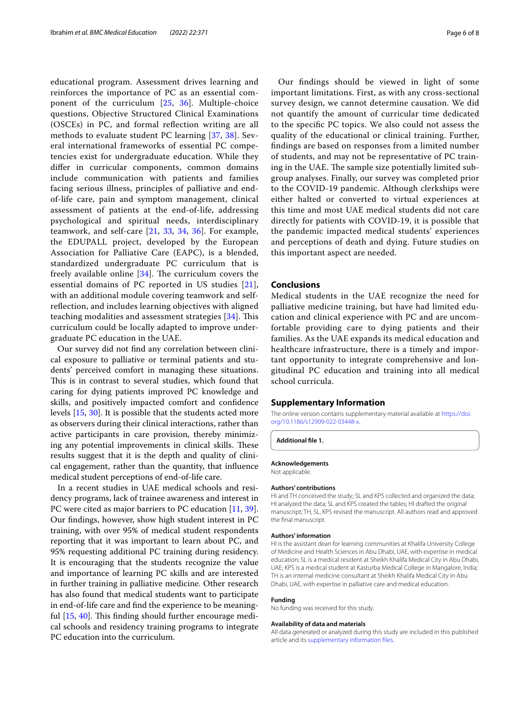educational program. Assessment drives learning and reinforces the importance of PC as an essential component of the curriculum [\[25](#page-6-23), [36\]](#page-7-2). Multiple-choice questions, Objective Structured Clinical Examinations (OSCEs) in PC, and formal refection writing are all methods to evaluate student PC learning [[37,](#page-7-3) [38](#page-7-4)]. Several international frameworks of essential PC competencies exist for undergraduate education. While they difer in curricular components, common domains include communication with patients and families facing serious illness, principles of palliative and endof-life care, pain and symptom management, clinical assessment of patients at the end-of-life, addressing psychological and spiritual needs, interdisciplinary teamwork, and self-care  $[21, 33, 34, 36]$  $[21, 33, 34, 36]$  $[21, 33, 34, 36]$  $[21, 33, 34, 36]$  $[21, 33, 34, 36]$  $[21, 33, 34, 36]$  $[21, 33, 34, 36]$ . For example, the EDUPALL project, developed by the European Association for Palliative Care (EAPC), is a blended, standardized undergraduate PC curriculum that is freely available online  $[34]$  $[34]$ . The curriculum covers the essential domains of PC reported in US studies [[21\]](#page-6-19), with an additional module covering teamwork and selfrefection, and includes learning objectives with aligned teaching modalities and assessment strategies  $[34]$  $[34]$ . This curriculum could be locally adapted to improve undergraduate PC education in the UAE.

Our survey did not fnd any correlation between clinical exposure to palliative or terminal patients and students' perceived comfort in managing these situations. This is in contrast to several studies, which found that caring for dying patients improved PC knowledge and skills, and positively impacted comfort and confdence levels [\[15](#page-6-12), [30\]](#page-6-28). It is possible that the students acted more as observers during their clinical interactions, rather than active participants in care provision, thereby minimizing any potential improvements in clinical skills. These results suggest that it is the depth and quality of clinical engagement, rather than the quantity, that infuence medical student perceptions of end-of-life care.

In a recent studies in UAE medical schools and residency programs, lack of trainee awareness and interest in PC were cited as major barriers to PC education [[11,](#page-6-13) [39](#page-7-5)]. Our fndings, however, show high student interest in PC training, with over 95% of medical student respondents reporting that it was important to learn about PC, and 95% requesting additional PC training during residency. It is encouraging that the students recognize the value and importance of learning PC skills and are interested in further training in palliative medicine. Other research has also found that medical students want to participate in end-of-life care and fnd the experience to be meaningful  $[15, 40]$  $[15, 40]$  $[15, 40]$  $[15, 40]$ . This finding should further encourage medical schools and residency training programs to integrate PC education into the curriculum.

Our fndings should be viewed in light of some important limitations. First, as with any cross-sectional survey design, we cannot determine causation. We did not quantify the amount of curricular time dedicated to the specifc PC topics. We also could not assess the quality of the educational or clinical training. Further, fndings are based on responses from a limited number of students, and may not be representative of PC training in the UAE. The sample size potentially limited subgroup analyses. Finally, our survey was completed prior to the COVID-19 pandemic. Although clerkships were either halted or converted to virtual experiences at this time and most UAE medical students did not care directly for patients with COVID-19, it is possible that the pandemic impacted medical students' experiences and perceptions of death and dying. Future studies on this important aspect are needed.

## **Conclusions**

Medical students in the UAE recognize the need for palliative medicine training, but have had limited education and clinical experience with PC and are uncomfortable providing care to dying patients and their families. As the UAE expands its medical education and healthcare infrastructure, there is a timely and important opportunity to integrate comprehensive and longitudinal PC education and training into all medical school curricula.

### **Supplementary Information**

The online version contains supplementary material available at [https://doi.](https://doi.org/10.1186/s12909-022-03448-x) [org/10.1186/s12909-022-03448-x.](https://doi.org/10.1186/s12909-022-03448-x)

<span id="page-5-0"></span>**Additional fle 1.**

## **Acknowledgements**

Not applicable.

#### **Authors' contributions**

HI and TH conceived the study; SL and KPS collected and organized the data; HI analyzed the data; SL and KPS created the tables; HI drafted the original manuscript; TH, SL, KPS revised the manuscript. All authors read and approved the fnal manuscript.

#### **Authors' information**

HI is the assistant dean for learning communities at Khalifa University College of Medicine and Health Sciences in Abu Dhabi, UAE, with expertise in medical education; SL is a medical resident at Sheikh Khalifa Medical City in Abu Dhabi, UAE; KPS is a medical student at Kasturba Medical College in Mangalore, India; TH is an internal medicine consultant at Sheikh Khalifa Medical City in Abu Dhabi, UAE, with expertise in palliative care and medical education.

#### **Funding**

No funding was received for this study.

#### **Availability of data and materials**

All data generated or analyzed during this study are included in this published article and its [supplementary information fles.](#page-5-0)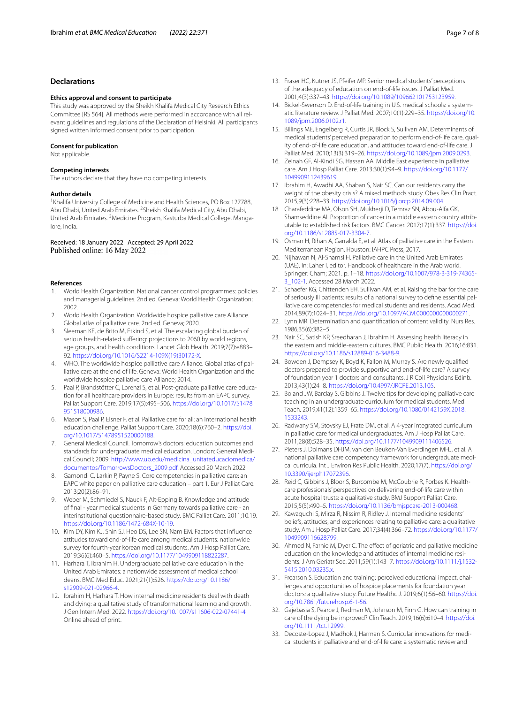#### **Declarations**

#### **Ethics approval and consent to participate**

This study was approved by the Sheikh Khalifa Medical City Research Ethics Committee [RS 564]. All methods were performed in accordance with all relevant guidelines and regulations of the Declaration of Helsinki. All participants signed written informed consent prior to participation.

#### **Consent for publication**

Not applicable.

#### **Competing interests**

The authors declare that they have no competing interests.

#### **Author details**

<sup>1</sup> Khalifa University College of Medicine and Health Sciences, PO Box 127788, Abu Dhabi, United Arab Emirates. <sup>2</sup> Sheikh Khalifa Medical City, Abu Dhabi, United Arab Emirates. <sup>3</sup>Medicine Program, Kasturba Medical College, Mangalore, India.

#### Received: 18 January 2022 Accepted: 29 April 2022 Published online: 16 May 2022

#### **References**

- <span id="page-6-0"></span>1. World Health Organization. National cancer control programmes: policies and managerial guidelines. 2nd ed. Geneva: World Health Organization; 2002.
- <span id="page-6-1"></span>2. World Health Organization. Worldwide hospice palliative care Alliance. Global atlas of palliative care. 2nd ed. Geneva; 2020.
- <span id="page-6-2"></span>3. Sleeman KE, de Brito M, Etkind S, et al. The escalating global burden of serious health-related suffering: projections to 2060 by world regions, age groups, and health conditions. Lancet Glob Health. 2019;7(7):e883– 92. [https://doi.org/10.1016/S2214-109X\(19\)30172-X.](https://doi.org/10.1016/S2214-109X(19)30172-X)
- <span id="page-6-3"></span>4. WHO. The worldwide hospice palliative care Alliance. Global atlas of palliative care at the end of life. Geneva: World Health Organization and the worldwide hospice palliative care Alliance; 2014.
- 5. Paal P, Brandstötter C, Lorenzl S, et al. Post-graduate palliative care education for all healthcare providers in Europe: results from an EAPC survey. Palliat Support Care. 2019;17(5):495–506. [https://doi.org/10.1017/S1478](https://doi.org/10.1017/S1478951518000986) [951518000986.](https://doi.org/10.1017/S1478951518000986)
- <span id="page-6-4"></span>6. Mason S, Paal P, Elsner F, et al. Palliative care for all: an international health education challenge. Palliat Support Care. 2020;18(6):760–2. [https://doi.](https://doi.org/10.1017/S1478951520000188) [org/10.1017/S1478951520000188](https://doi.org/10.1017/S1478951520000188).
- <span id="page-6-5"></span>7. General Medical Council. Tomorrow's doctors: education outcomes and standards for undergraduate medical education. London: General Medical Council; 2009. [http://www.ub.edu/medicina\\_unitateducaciomedica/](http://www.ub.edu/medicina_unitateducaciomedica/documentos/TomorrowsDoctors_2009.pdf) [documentos/TomorrowsDoctors\\_2009.pdf](http://www.ub.edu/medicina_unitateducaciomedica/documentos/TomorrowsDoctors_2009.pdf). Accessed 20 March 2022
- <span id="page-6-6"></span>8. Gamondi C, Larkin P, Payne S. Core competencies in palliative care: an EAPC white paper on palliative care education – part 1. Eur J Palliat Care. 2013;20(2):86–91.
- <span id="page-6-7"></span>9. Weber M, Schmiedel S, Nauck F, Alt-Epping B. Knowledge and attitude of fnal - year medical students in Germany towards palliative care - an interinstitutional questionnaire-based study. BMC Palliat Care. 2011;10:19. <https://doi.org/10.1186/1472-684X-10-19>.
- <span id="page-6-9"></span>10. Kim DY, Kim KJ, Shin SJ, Heo DS, Lee SN, Nam EM. Factors that infuence attitudes toward end-of-life care among medical students: nationwide survey for fourth-year korean medical students. Am J Hosp Palliat Care. 2019;36(6):460–5. [https://doi.org/10.1177/1049909118822287.](https://doi.org/10.1177/1049909118822287)
- <span id="page-6-13"></span>11. Harhara T, Ibrahim H. Undergraduate palliative care education in the United Arab Emirates: a nationwide assessment of medical school deans. BMC Med Educ. 2021;21(1):526. [https://doi.org/10.1186/](https://doi.org/10.1186/s12909-021-02966-4) [s12909-021-02966-4](https://doi.org/10.1186/s12909-021-02966-4).
- <span id="page-6-8"></span>12. Ibrahim H, Harhara T. How internal medicine residents deal with death and dying: a qualitative study of transformational learning and growth. J Gen Intern Med. 2022. <https://doi.org/10.1007/s11606-022-07441-4> Online ahead of print.
- 
- <span id="page-6-10"></span>13. Fraser HC, Kutner JS, Pfeifer MP. Senior medical students' perceptions of the adequacy of education on end-of-life issues. J Palliat Med. 2001;4(3):337–43. [https://doi.org/10.1089/109662101753123959.](https://doi.org/10.1089/109662101753123959)
- <span id="page-6-11"></span>14. Bickel-Swenson D. End-of-life training in U.S. medical schools: a systematic literature review. J Palliat Med. 2007;10(1):229–35. [https://doi.org/10.](https://doi.org/10.1089/jpm.2006.0102.r1) [1089/jpm.2006.0102.r1.](https://doi.org/10.1089/jpm.2006.0102.r1)
- <span id="page-6-12"></span>15. Billings ME, Engelberg R, Curtis JR, Block S, Sullivan AM. Determinants of medical students' perceived preparation to perform end-of-life care, quality of end-of-life care education, and attitudes toward end-of-life care. J Palliat Med. 2010;13(3):319–26.<https://doi.org/10.1089/jpm.2009.0293>.
- <span id="page-6-14"></span>16. Zeinah GF, Al-Kindi SG, Hassan AA. Middle East experience in palliative care. Am J Hosp Palliat Care. 2013;30(1):94–9. [https://doi.org/10.1177/](https://doi.org/10.1177/1049909112439619) [1049909112439619](https://doi.org/10.1177/1049909112439619).
- <span id="page-6-15"></span>17. Ibrahim H, Awadhi AA, Shaban S, Nair SC. Can our residents carry the weight of the obesity crisis? A mixed methods study. Obes Res Clin Pract. 2015;9(3):228–33.<https://doi.org/10.1016/j.orcp.2014.09.004>.
- <span id="page-6-16"></span>18. Charafeddine MA, Olson SH, Mukherji D, Temraz SN, Abou-Alfa GK, Shamseddine AI. Proportion of cancer in a middle eastern country attributable to established risk factors. BMC Cancer. 2017;17(1):337. [https://doi.](https://doi.org/10.1186/s12885-017-3304-7) [org/10.1186/s12885-017-3304-7.](https://doi.org/10.1186/s12885-017-3304-7)
- <span id="page-6-17"></span>19. Osman H, Rihan A, Garralda E, et al. Atlas of palliative care in the Eastern Mediterranean Region. Houston: IAHPC Press; 2017.
- <span id="page-6-18"></span>20. Nijhawan N, Al-Shamsi H. Palliative care in the United Arab Emirates (UAE). In: Laher I, editor. Handbook of healthcare in the Arab world. Springer: Cham; 2021. p. 1–18. [https://doi.org/10.1007/978-3-319-74365-](https://doi.org/10.1007/978-3-319-74365-3_102-1) [3\\_102-1](https://doi.org/10.1007/978-3-319-74365-3_102-1). Accessed 28 March 2022.
- <span id="page-6-19"></span>21. Schaefer KG, Chittenden EH, Sullivan AM, et al. Raising the bar for the care of seriously ill patients: results of a national survey to defne essential palliative care competencies for medical students and residents. Acad Med. 2014;89(7):1024–31. [https://doi.org/10.1097/ACM.0000000000000271.](https://doi.org/10.1097/ACM.0000000000000271)
- <span id="page-6-20"></span>22. Lynn MR. Determination and quantifcation of content validity. Nurs Res. 1986;35(6):382–5.
- <span id="page-6-21"></span>23. Nair SC, Satish KP, Sreedharan J, Ibrahim H. Assessing health literacy in the eastern and middle-eastern cultures. BMC Public Health. 2016;16:831. [https://doi.org/10.1186/s12889-016-3488-9.](https://doi.org/10.1186/s12889-016-3488-9)
- <span id="page-6-22"></span>24. Bowden J, Dempsey K, Boyd K, Fallon M, Murray S. Are newly qualifed doctors prepared to provide supportive and end-of-life care? A survey of foundation year 1 doctors and consultants. J R Coll Physicians Edinb. 2013;43(1):24–8. [https://doi.org/10.4997/JRCPE.2013.105.](https://doi.org/10.4997/JRCPE.2013.105)
- <span id="page-6-23"></span>25. Boland JW, Barclay S, Gibbins J. Twelve tips for developing palliative care teaching in an undergraduate curriculum for medical students. Med Teach. 2019;41(12):1359–65. [https://doi.org/10.1080/0142159X.2018.](https://doi.org/10.1080/0142159X.2018.1533243) [1533243](https://doi.org/10.1080/0142159X.2018.1533243).
- <span id="page-6-24"></span>26. Radwany SM, Stovsky EJ, Frate DM, et al. A 4-year integrated curriculum in palliative care for medical undergraduates. Am J Hosp Palliat Care. 2011;28(8):528–35. <https://doi.org/10.1177/1049909111406526>.
- <span id="page-6-25"></span>27. Pieters J, Dolmans DHJM, van den Beuken-Van Everdingen MHJ, et al. A national palliative care competency framework for undergraduate medical curricula. Int J Environ Res Public Health. 2020;17(7). [https://doi.org/](https://doi.org/10.3390/ijerph17072396) [10.3390/ijerph17072396](https://doi.org/10.3390/ijerph17072396).
- <span id="page-6-26"></span>28. Reid C, Gibbins J, Bloor S, Burcombe M, McCoubrie R, Forbes K. Healthcare professionals' perspectives on delivering end-of-life care within acute hospital trusts: a qualitative study. BMJ Support Palliat Care. 2015;5(5):490–5. <https://doi.org/10.1136/bmjspcare-2013-000468>.
- <span id="page-6-27"></span>29. Kawaguchi S, Mirza R, Nissim R, Ridley J. Internal medicine residents' beliefs, attitudes, and experiences relating to palliative care: a qualitative study. Am J Hosp Palliat Care. 2017;34(4):366–72. [https://doi.org/10.1177/](https://doi.org/10.1177/1049909116628799) [1049909116628799](https://doi.org/10.1177/1049909116628799).
- <span id="page-6-28"></span>30. Ahmed N, Farnie M, Dyer C. The efect of geriatric and palliative medicine education on the knowledge and attitudes of internal medicine residents. J Am Geriatr Soc. 2011;59(1):143–7. [https://doi.org/10.1111/j.1532-](https://doi.org/10.1111/j.1532-5415.2010.03235.x) [5415.2010.03235.x](https://doi.org/10.1111/j.1532-5415.2010.03235.x).
- <span id="page-6-29"></span>31. Frearson S. Education and training: perceived educational impact, challenges and opportunities of hospice placements for foundation year doctors: a qualitative study. Future Healthc J. 2019;6(1):56–60. [https://doi.](https://doi.org/10.7861/futurehosp.6-1-56) [org/10.7861/futurehosp.6-1-56.](https://doi.org/10.7861/futurehosp.6-1-56)
- <span id="page-6-30"></span>32. Gajebasia S, Pearce J, Redman M, Johnson M, Finn G. How can training in care of the dying be improved? Clin Teach. 2019;16(6):610–4. [https://doi.](https://doi.org/10.1111/tct.12999) [org/10.1111/tct.12999](https://doi.org/10.1111/tct.12999).
- <span id="page-6-31"></span>33. Decoste-Lopez J, Madhok J, Harman S. Curricular innovations for medical students in palliative and end-of-life care: a systematic review and